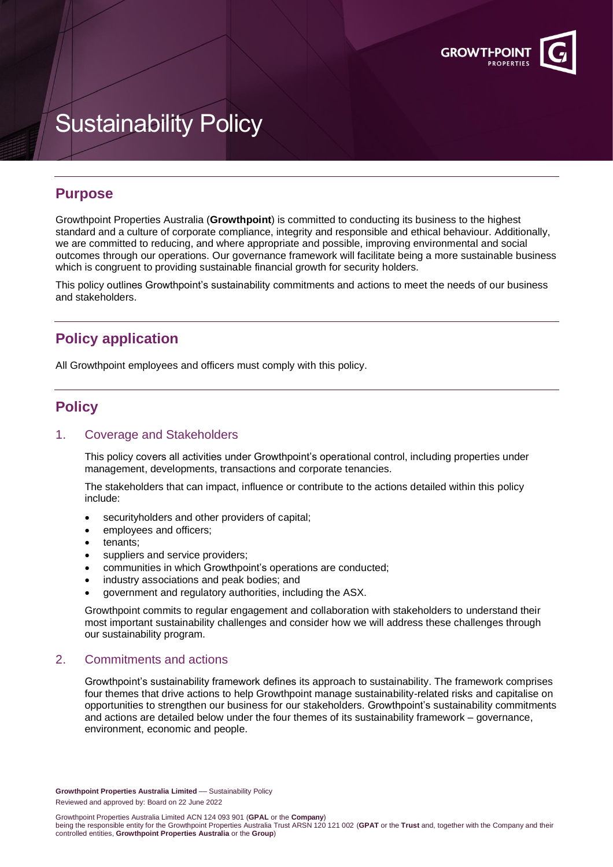

# Sustainability Policy

## **Purpose**

Growthpoint Properties Australia (**Growthpoint**) is committed to conducting its business to the highest standard and a culture of corporate compliance, integrity and responsible and ethical behaviour. Additionally, we are committed to reducing, and where appropriate and possible, improving environmental and social outcomes through our operations. Our governance framework will facilitate being a more sustainable business which is congruent to providing sustainable financial growth for security holders.

This policy outlines Growthpoint's sustainability commitments and actions to meet the needs of our business and stakeholders.

## **Policy application**

All Growthpoint employees and officers must comply with this policy.

## **Policy**

### 1. Coverage and Stakeholders

This policy covers all activities under Growthpoint's operational control, including properties under management, developments, transactions and corporate tenancies.

The stakeholders that can impact, influence or contribute to the actions detailed within this policy include:

- securityholders and other providers of capital;
- employees and officers;
- tenants;
- suppliers and service providers:
- communities in which Growthpoint's operations are conducted;
- industry associations and peak bodies; and
- government and regulatory authorities, including the ASX.

Growthpoint commits to regular engagement and collaboration with stakeholders to understand their most important sustainability challenges and consider how we will address these challenges through our sustainability program.

## 2. Commitments and actions

Growthpoint's sustainability framework defines its approach to sustainability. The framework comprises four themes that drive actions to help Growthpoint manage sustainability-related risks and capitalise on opportunities to strengthen our business for our stakeholders. Growthpoint's sustainability commitments and actions are detailed below under the four themes of its sustainability framework – governance, environment, economic and people.

**Growthpoint Properties Australia Limited** –– Sustainability Policy Reviewed and approved by: Board on 22 June 2022

Growthpoint Properties Australia Limited ACN 124 093 901 (**GPAL** or the **Company**)

being the responsible entity for the Growthpoint Properties Australia Trust ARSN 120 121 002 (**GPAT** or the **Trust** and, together with the Company and their controlled entities, **Growthpoint Properties Australia** or the **Group**)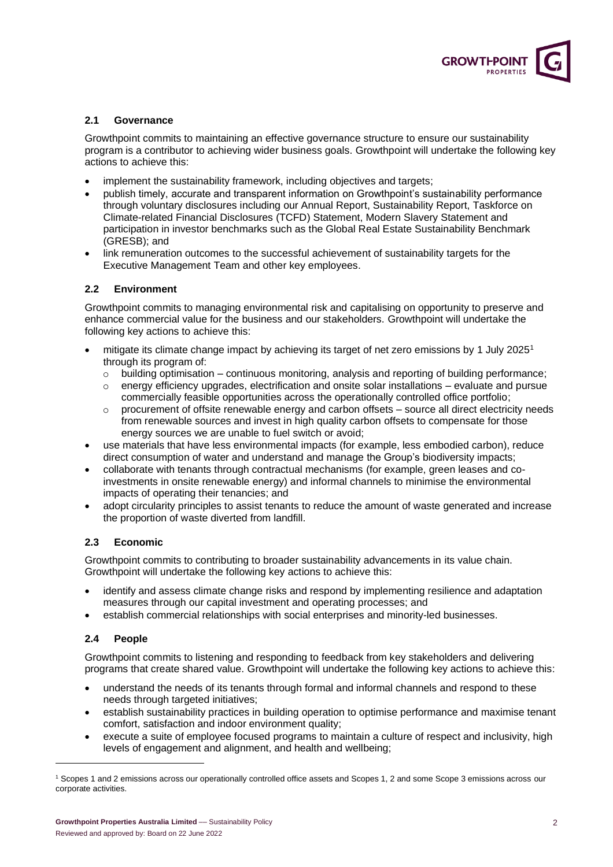

#### **2.1 Governance**

Growthpoint commits to maintaining an effective governance structure to ensure our sustainability program is a contributor to achieving wider business goals. Growthpoint will undertake the following key actions to achieve this:

- implement the sustainability framework, including objectives and targets;
- publish timely, accurate and transparent information on Growthpoint's sustainability performance through voluntary disclosures including our Annual Report, Sustainability Report, Taskforce on Climate-related Financial Disclosures (TCFD) Statement, Modern Slavery Statement and participation in investor benchmarks such as the Global Real Estate Sustainability Benchmark (GRESB); and
- link remuneration outcomes to the successful achievement of sustainability targets for the Executive Management Team and other key employees.

#### **2.2 Environment**

Growthpoint commits to managing environmental risk and capitalising on opportunity to preserve and enhance commercial value for the business and our stakeholders. Growthpoint will undertake the following key actions to achieve this:

- mitigate its climate change impact by achieving its target of net zero emissions by 1 July 2025<sup>1</sup> through its program of:
	- $\circ$  building optimisation continuous monitoring, analysis and reporting of building performance;
	- $\circ$  energy efficiency upgrades, electrification and onsite solar installations evaluate and pursue commercially feasible opportunities across the operationally controlled office portfolio;
	- procurement of offsite renewable energy and carbon offsets source all direct electricity needs from renewable sources and invest in high quality carbon offsets to compensate for those energy sources we are unable to fuel switch or avoid;
- use materials that have less environmental impacts (for example, less embodied carbon), reduce direct consumption of water and understand and manage the Group's biodiversity impacts;
- collaborate with tenants through contractual mechanisms (for example, green leases and coinvestments in onsite renewable energy) and informal channels to minimise the environmental impacts of operating their tenancies; and
- adopt circularity principles to assist tenants to reduce the amount of waste generated and increase the proportion of waste diverted from landfill.

#### **2.3 Economic**

Growthpoint commits to contributing to broader sustainability advancements in its value chain. Growthpoint will undertake the following key actions to achieve this:

- identify and assess climate change risks and respond by implementing resilience and adaptation measures through our capital investment and operating processes; and
- establish commercial relationships with social enterprises and minority-led businesses.

#### **2.4 People**

Growthpoint commits to listening and responding to feedback from key stakeholders and delivering programs that create shared value. Growthpoint will undertake the following key actions to achieve this:

- understand the needs of its tenants through formal and informal channels and respond to these needs through targeted initiatives;
- establish sustainability practices in building operation to optimise performance and maximise tenant comfort, satisfaction and indoor environment quality;
- execute a suite of employee focused programs to maintain a culture of respect and inclusivity, high levels of engagement and alignment, and health and wellbeing;

<sup>1</sup> Scopes 1 and 2 emissions across our operationally controlled office assets and Scopes 1, 2 and some Scope 3 emissions across our corporate activities.